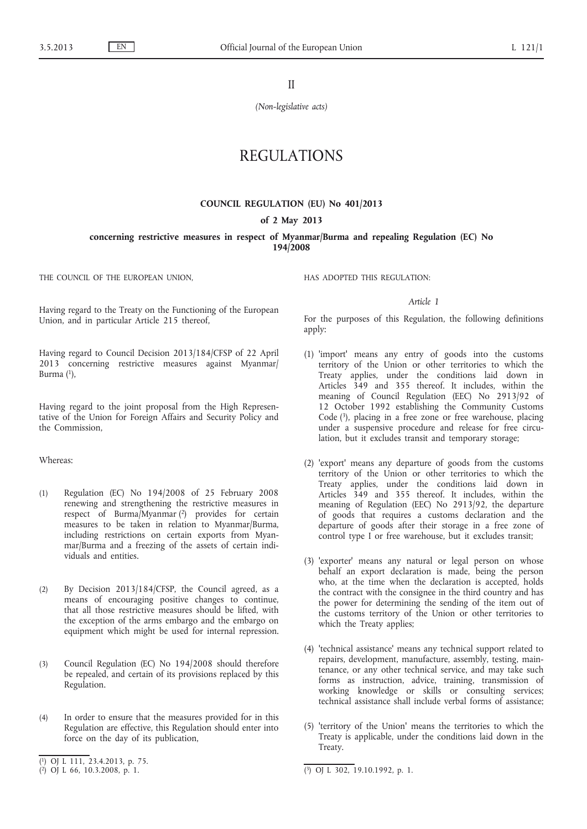II

*(Non-legislative acts)*

# REGULATIONS

### **COUNCIL REGULATION (EU) No 401/2013**

#### **of 2 May 2013**

**concerning restrictive measures in respect of Myanmar/Burma and repealing Regulation (EC) No 194/2008**

THE COUNCIL OF THE EUROPEAN UNION,

Having regard to the Treaty on the Functioning of the European Union, and in particular Article 215 thereof,

Having regard to Council Decision 2013/184/CFSP of 22 April 2013 concerning restrictive measures against Myanmar/ Burma $(1)$ ,

Having regard to the joint proposal from the High Representative of the Union for Foreign Affairs and Security Policy and the Commission,

### Whereas:

- (1) Regulation (EC) No 194/2008 of 25 February 2008 renewing and strengthening the restrictive measures in respect of Burma/Myanmar (2) provides for certain measures to be taken in relation to Myanmar/Burma, including restrictions on certain exports from Myanmar/Burma and a freezing of the assets of certain individuals and entities.
- (2) By Decision 2013/184/CFSP, the Council agreed, as a means of encouraging positive changes to continue, that all those restrictive measures should be lifted, with the exception of the arms embargo and the embargo on equipment which might be used for internal repression.
- (3) Council Regulation (EC) No 194/2008 should therefore be repealed, and certain of its provisions replaced by this Regulation.
- (4) In order to ensure that the measures provided for in this Regulation are effective, this Regulation should enter into force on the day of its publication,

HAS ADOPTED THIS REGULATION:

#### *Article 1*

For the purposes of this Regulation, the following definitions apply:

- (1) 'import' means any entry of goods into the customs territory of the Union or other territories to which the Treaty applies, under the conditions laid down in Articles 349 and 355 thereof. It includes, within the meaning of Council Regulation (EEC) No 2913/92 of 12 October 1992 establishing the Community Customs Code (3), placing in a free zone or free warehouse, placing under a suspensive procedure and release for free circulation, but it excludes transit and temporary storage;
- (2) 'export' means any departure of goods from the customs territory of the Union or other territories to which the Treaty applies, under the conditions laid down in Articles 349 and 355 thereof. It includes, within the meaning of Regulation (EEC) No 2913/92, the departure of goods that requires a customs declaration and the departure of goods after their storage in a free zone of control type I or free warehouse, but it excludes transit;
- (3) 'exporter' means any natural or legal person on whose behalf an export declaration is made, being the person who, at the time when the declaration is accepted, holds the contract with the consignee in the third country and has the power for determining the sending of the item out of the customs territory of the Union or other territories to which the Treaty applies;
- (4) 'technical assistance' means any technical support related to repairs, development, manufacture, assembly, testing, maintenance, or any other technical service, and may take such forms as instruction, advice, training, transmission of working knowledge or skills or consulting services; technical assistance shall include verbal forms of assistance;
- (5) 'territory of the Union' means the territories to which the Treaty is applicable, under the conditions laid down in the Treaty.

<sup>(</sup> 1) OJ L 111, 23.4.2013, p. 75.

 $(2)$  OJ L 66, 10.3.2008, p. 1.

 $\overline{(^3)}$  OJ L 302, 19.10.1992, p. 1.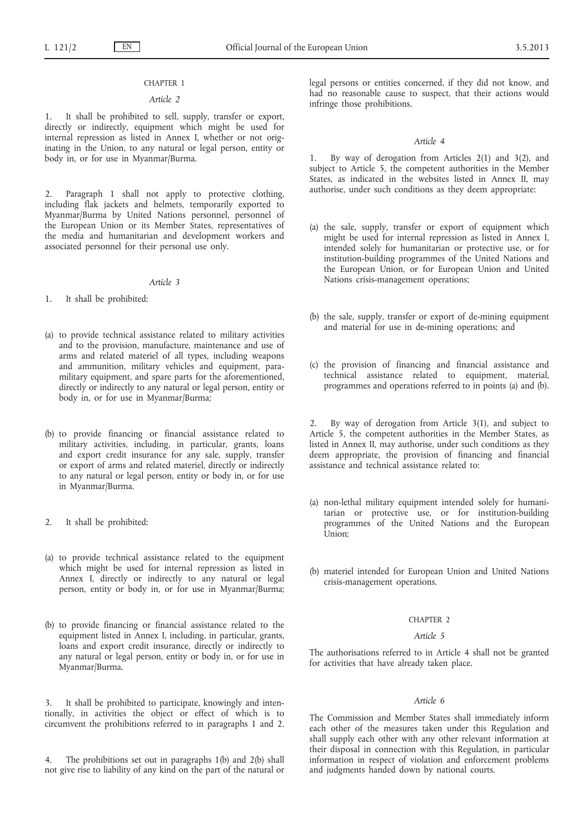### CHAPTER 1

#### *Article 2*

1. It shall be prohibited to sell, supply, transfer or export, directly or indirectly, equipment which might be used for internal repression as listed in Annex I, whether or not originating in the Union, to any natural or legal person, entity or body in, or for use in Myanmar/Burma.

2. Paragraph 1 shall not apply to protective clothing, including flak jackets and helmets, temporarily exported to Myanmar/Burma by United Nations personnel, personnel of the European Union or its Member States, representatives of the media and humanitarian and development workers and associated personnel for their personal use only.

### *Article 3*

- 1. It shall be prohibited:
- (a) to provide technical assistance related to military activities and to the provision, manufacture, maintenance and use of arms and related materiel of all types, including weapons and ammunition, military vehicles and equipment, paramilitary equipment, and spare parts for the aforementioned, directly or indirectly to any natural or legal person, entity or body in, or for use in Myanmar/Burma;
- (b) to provide financing or financial assistance related to military activities, including, in particular, grants, loans and export credit insurance for any sale, supply, transfer or export of arms and related materiel, directly or indirectly to any natural or legal person, entity or body in, or for use in Myanmar/Burma.
- 2. It shall be prohibited:
- (a) to provide technical assistance related to the equipment which might be used for internal repression as listed in Annex I, directly or indirectly to any natural or legal person, entity or body in, or for use in Myanmar/Burma;
- (b) to provide financing or financial assistance related to the equipment listed in Annex I, including, in particular, grants, loans and export credit insurance, directly or indirectly to any natural or legal person, entity or body in, or for use in Myanmar/Burma.

3. It shall be prohibited to participate, knowingly and intentionally, in activities the object or effect of which is to circumvent the prohibitions referred to in paragraphs 1 and 2.

4. The prohibitions set out in paragraphs 1(b) and 2(b) shall not give rise to liability of any kind on the part of the natural or legal persons or entities concerned, if they did not know, and had no reasonable cause to suspect, that their actions would infringe those prohibitions.

#### *Article 4*

By way of derogation from Articles  $2(1)$  and  $3(2)$ , and subject to Article 5, the competent authorities in the Member States, as indicated in the websites listed in Annex II, may authorise, under such conditions as they deem appropriate:

- (a) the sale, supply, transfer or export of equipment which might be used for internal repression as listed in Annex I, intended solely for humanitarian or protective use, or for institution-building programmes of the United Nations and the European Union, or for European Union and United Nations crisis-management operations;
- (b) the sale, supply, transfer or export of de-mining equipment and material for use in de-mining operations; and
- (c) the provision of financing and financial assistance and technical assistance related to equipment, material, programmes and operations referred to in points (a) and (b).

2. By way of derogation from Article 3(1), and subject to Article 5, the competent authorities in the Member States, as listed in Annex II, may authorise, under such conditions as they deem appropriate, the provision of financing and financial assistance and technical assistance related to:

- (a) non-lethal military equipment intended solely for humanitarian or protective use, or for institution-building programmes of the United Nations and the European Union;
- (b) materiel intended for European Union and United Nations crisis-management operations.

### CHAPTER 2

### *Article 5*

The authorisations referred to in Article 4 shall not be granted for activities that have already taken place.

### *Article 6*

The Commission and Member States shall immediately inform each other of the measures taken under this Regulation and shall supply each other with any other relevant information at their disposal in connection with this Regulation, in particular information in respect of violation and enforcement problems and judgments handed down by national courts.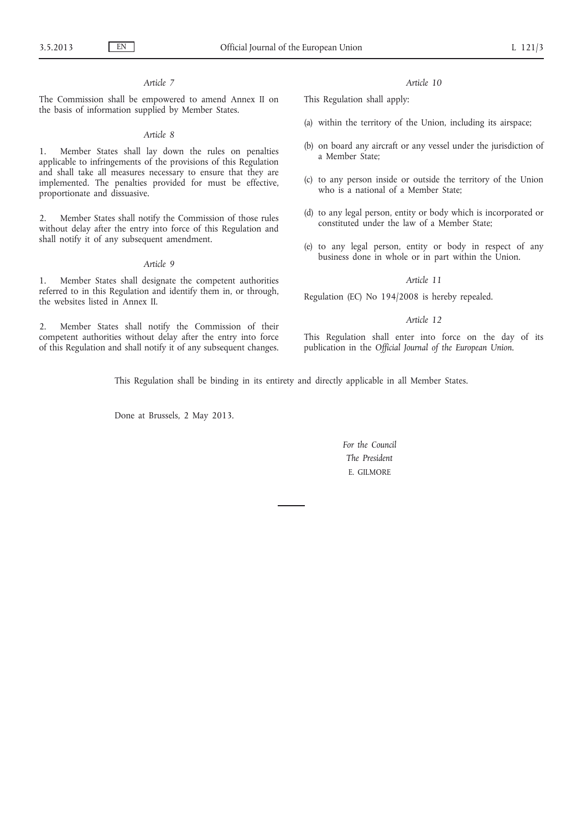### *Article 7*

The Commission shall be empowered to amend Annex II on the basis of information supplied by Member States.

### *Article 8*

1. Member States shall lay down the rules on penalties applicable to infringements of the provisions of this Regulation and shall take all measures necessary to ensure that they are implemented. The penalties provided for must be effective, proportionate and dissuasive.

2. Member States shall notify the Commission of those rules without delay after the entry into force of this Regulation and shall notify it of any subsequent amendment.

#### *Article 9*

1. Member States shall designate the competent authorities referred to in this Regulation and identify them in, or through, the websites listed in Annex II.

2. Member States shall notify the Commission of their competent authorities without delay after the entry into force of this Regulation and shall notify it of any subsequent changes. *Article 10*

This Regulation shall apply:

- (a) within the territory of the Union, including its airspace;
- (b) on board any aircraft or any vessel under the jurisdiction of a Member State;
- (c) to any person inside or outside the territory of the Union who is a national of a Member State;
- (d) to any legal person, entity or body which is incorporated or constituted under the law of a Member State;
- (e) to any legal person, entity or body in respect of any business done in whole or in part within the Union.

#### *Article 11*

Regulation (EC) No 194/2008 is hereby repealed.

### *Article 12*

This Regulation shall enter into force on the day of its publication in the *Official Journal of the European Union*.

This Regulation shall be binding in its entirety and directly applicable in all Member States.

Done at Brussels, 2 May 2013.

*For the Council The President* E. GILMORE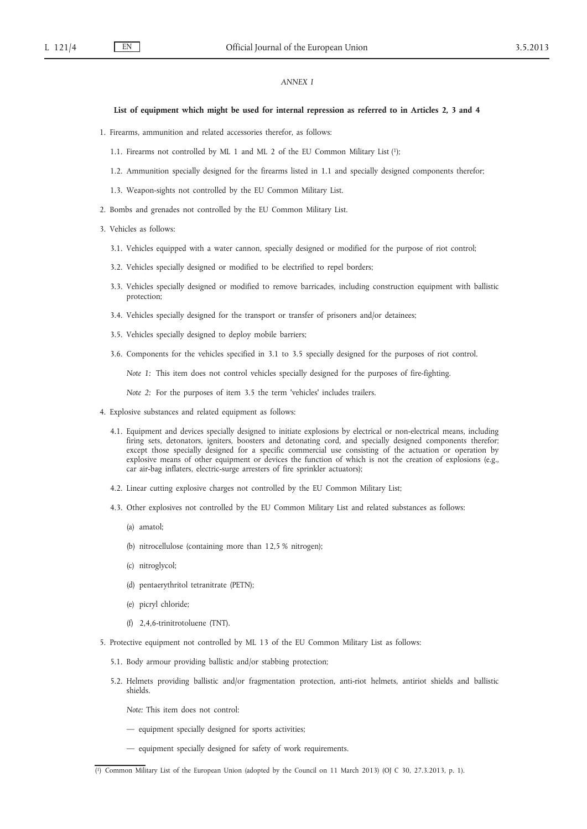### *ANNEX I*

#### **List of equipment which might be used for internal repression as referred to in Articles 2, 3 and 4**

- 1. Firearms, ammunition and related accessories therefor, as follows:
	- 1.1. Firearms not controlled by ML 1 and ML 2 of the EU Common Military List (1);
	- 1.2. Ammunition specially designed for the firearms listed in 1.1 and specially designed components therefor;
	- 1.3. Weapon-sights not controlled by the EU Common Military List.
- 2. Bombs and grenades not controlled by the EU Common Military List.
- 3. Vehicles as follows:
	- 3.1. Vehicles equipped with a water cannon, specially designed or modified for the purpose of riot control;
	- 3.2. Vehicles specially designed or modified to be electrified to repel borders;
	- 3.3. Vehicles specially designed or modified to remove barricades, including construction equipment with ballistic protection;
	- 3.4. Vehicles specially designed for the transport or transfer of prisoners and/or detainees;
	- 3.5. Vehicles specially designed to deploy mobile barriers;
	- 3.6. Components for the vehicles specified in 3.1 to 3.5 specially designed for the purposes of riot control.

*Note 1:* This item does not control vehicles specially designed for the purposes of fire-fighting.

*Note 2:* For the purposes of item 3.5 the term 'vehicles' includes trailers.

- 4. Explosive substances and related equipment as follows:
	- 4.1. Equipment and devices specially designed to initiate explosions by electrical or non-electrical means, including firing sets, detonators, igniters, boosters and detonating cord, and specially designed components therefor; except those specially designed for a specific commercial use consisting of the actuation or operation by explosive means of other equipment or devices the function of which is not the creation of explosions (e.g., car air-bag inflaters, electric-surge arresters of fire sprinkler actuators);
	- 4.2. Linear cutting explosive charges not controlled by the EU Common Military List;
	- 4.3. Other explosives not controlled by the EU Common Military List and related substances as follows:
		- (a) amatol;
		- (b) nitrocellulose (containing more than 12,5 % nitrogen);
		- (c) nitroglycol;
		- (d) pentaerythritol tetranitrate (PETN);
		- (e) picryl chloride;
		- (f) 2,4,6-trinitrotoluene (TNT).
- 5. Protective equipment not controlled by ML 13 of the EU Common Military List as follows:
	- 5.1. Body armour providing ballistic and/or stabbing protection;
	- 5.2. Helmets providing ballistic and/or fragmentation protection, anti-riot helmets, antiriot shields and ballistic shields.

*Note:* This item does not control:

- equipment specially designed for sports activities;
- equipment specially designed for safety of work requirements.

<sup>(</sup> 1) Common Military List of the European Union (adopted by the Council on 11 March 2013) (OJ C 30, 27.3.2013, p. 1).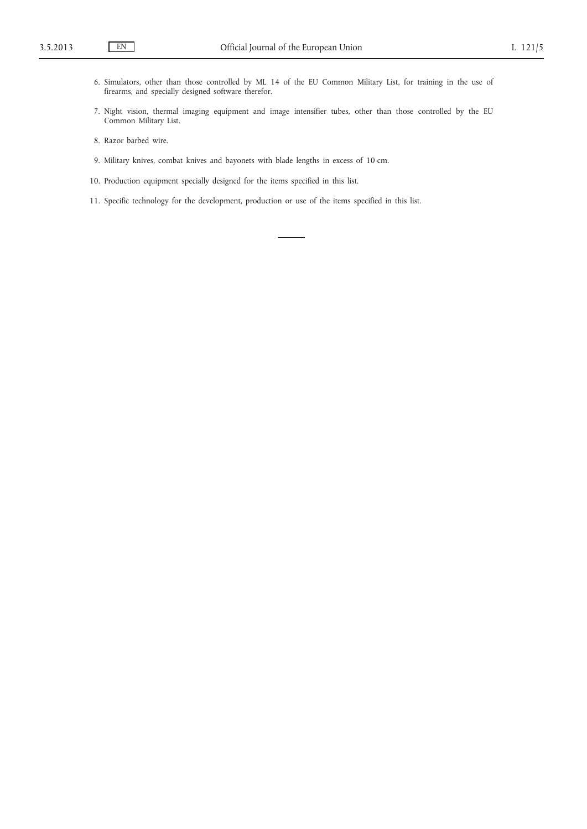- 6. Simulators, other than those controlled by ML 14 of the EU Common Military List, for training in the use of firearms, and specially designed software therefor.
- 7. Night vision, thermal imaging equipment and image intensifier tubes, other than those controlled by the EU Common Military List.
- 8. Razor barbed wire.
- 9. Military knives, combat knives and bayonets with blade lengths in excess of 10 cm.
- 10. Production equipment specially designed for the items specified in this list.
- 11. Specific technology for the development, production or use of the items specified in this list.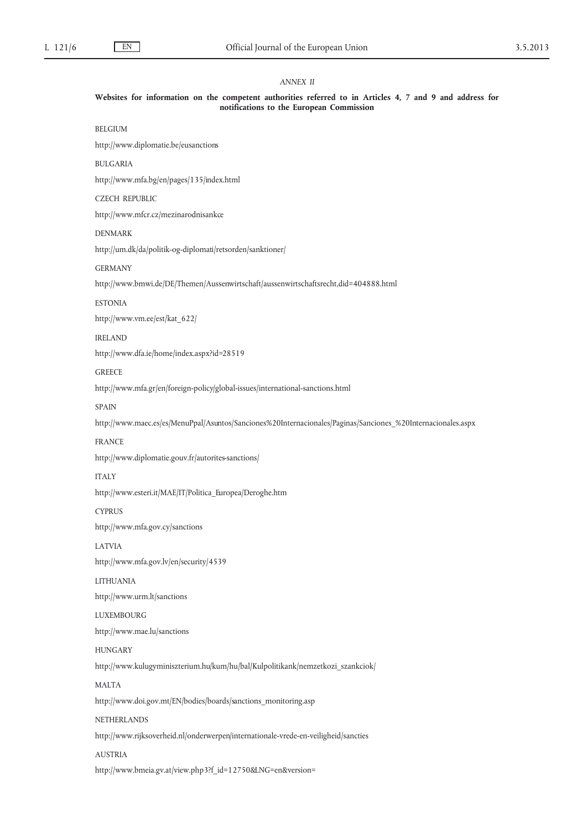### *ANNEX II*

#### **Websites for information on the competent authorities referred to in Articles 4, 7 and 9 and address for notifications to the European Commission**

### BELGIUM

<http://www.diplomatie.be/eusanctions>

#### BULGARIA

<http://www.mfa.bg/en/pages/135/index.html>

### CZECH REPUBLIC

<http://www.mfcr.cz/mezinarodnisankce>

### DENMARK

<http://um.dk/da/politik-og-diplomati/retsorden/sanktioner/>

#### GERMANY

<http://www.bmwi.de/DE/Themen/Aussenwirtschaft/aussenwirtschaftsrecht,did=404888.html>

#### ESTONIA

[http://www.vm.ee/est/kat\\_622/](http://www.vm.ee/est/kat_622/)

#### IRELAND

<http://www.dfa.ie/home/index.aspx?id=28519>

#### **GREECE**

<http://www.mfa.gr/en/foreign-policy/global-issues/international-sanctions.html>

### SPAIN

[http://www.maec.es/es/MenuPpal/Asuntos/Sanciones%20Internacionales/Paginas/Sanciones\\_%20Internacionales.aspx](http://www.maec.es/es/MenuPpal/Asuntos/Sanciones%20Internacionales/Paginas/Sanciones_%20Internacionales.aspx)

### FRANCE

<http://www.diplomatie.gouv.fr/autorites-sanctions/>

### ITALY

[http://www.esteri.it/MAE/IT/Politica\\_Europea/Deroghe.htm](http://www.esteri.it/MAE/IT/Politica_Europea/Deroghe.htm)

### **CYPRUS**

<http://www.mfa.gov.cy/sanctions>

#### LATVIA

<http://www.mfa.gov.lv/en/security/4539>

### LITHUANIA

<http://www.urm.lt/sanctions>

#### LUXEMBOURG

<http://www.mae.lu/sanctions>

#### HUNGARY

[http://www.kulugyminiszterium.hu/kum/hu/bal/Kulpolitikank/nemzetkozi\\_szankciok/](http://www.kulugyminiszterium.hu/kum/hu/bal/Kulpolitikank/nemzetkozi_szankciok/)

#### MALTA

[http://www.doi.gov.mt/EN/bodies/boards/sanctions\\_monitoring.asp](http://www.doi.gov.mt/EN/bodies/boards/sanctions_monitoring.asp)

### NETHERLANDS

<http://www.rijksoverheid.nl/onderwerpen/internationale-vrede-en-veiligheid/sancties>

### AUSTRIA

[http://www.bmeia.gv.at/view.php3?f\\_id=12750&LNG=en&version=](http://www.bmeia.gv.at/view.php3?f_id=12750&LNG=en&version=)